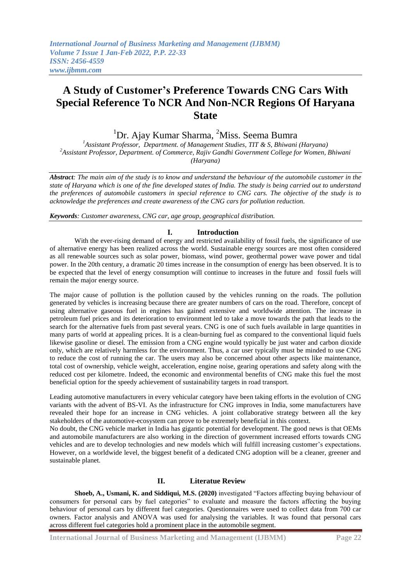# **A Study of Customer's Preference Towards CNG Cars With Special Reference To NCR And Non-NCR Regions Of Haryana State**

<sup>1</sup>Dr. Ajay Kumar Sharma, <sup>2</sup>Miss. Seema Bumra

*<sup>1</sup>Assistant Professor, Department. of Management Studies, TIT & S, Bhiwani (Haryana) <sup>2</sup>Assistant Professor, Department. of Commerce, Rajiv Gandhi Government College for Women, Bhiwani (Haryana)*

*Abstract: The main aim of the study is to know and understand the behaviour of the automobile customer in the state of Haryana which is one of the fine developed states of India. The study is being carried out to understand the preferences of automobile customers in special reference to CNG cars. The objective of the study is to acknowledge the preferences and create awareness of the CNG cars for pollution reduction.* 

*Keywords: Customer awareness, CNG car, age group, geographical distribution.*

## **I. Introduction**

With the ever-rising demand of energy and restricted availability of fossil fuels, the significance of use of alternative energy has been realized across the world. Sustainable energy sources are most often considered as all renewable sources such as solar power, biomass, wind power, geothermal power wave power and tidal power. In the 20th century, a dramatic 20 times increase in the consumption of energy has been observed. It is to be expected that the level of energy consumption will continue to increases in the future and fossil fuels will remain the major energy source.

The major cause of pollution is the pollution caused by the vehicles running on the roads. The pollution generated by vehicles is increasing because there are greater numbers of cars on the road. Therefore, concept of using alternative gaseous fuel in engines has gained extensive and worldwide attention. The increase in petroleum fuel prices and its deterioration to environment led to take a move towards the path that leads to the search for the alternative fuels from past several years. CNG is one of such fuels available in large quantities in many parts of world at appealing prices. It is a clean-burning fuel as compared to the conventional liquid fuels likewise gasoline or diesel. The emission from a CNG engine would typically be just water and carbon dioxide only, which are relatively harmless for the environment. Thus, a car user typically must be minded to use CNG to reduce the cost of running the car. The users may also be concerned about other aspects like maintenance, total cost of ownership, vehicle weight, acceleration, engine noise, gearing operations and safety along with the reduced cost per kilometre. Indeed, the economic and environmental benefits of CNG make this fuel the most beneficial option for the speedy achievement of sustainability targets in road transport.

Leading automotive manufacturers in every vehicular category have been taking efforts in the evolution of CNG variants with the advent of BS-VI. As the infrastructure for CNG improves in India, some manufacturers have revealed their hope for an increase in CNG vehicles. A joint collaborative strategy between all the key stakeholders of the automotive-ecosystem can prove to be extremely beneficial in this context.

No doubt, the CNG vehicle market in India has gigantic potential for development. The good news is that OEMs and automobile manufacturers are also working in the direction of government increased efforts towards CNG vehicles and are to develop technologies and new models which will fulfill increasing customer"s expectations. However, on a worldwide level, the biggest benefit of a dedicated CNG adoption will be a cleaner, greener and sustainable planet.

## **II. Literatue Review**

**Shoeb, A., Usmani, K. and Siddiqui, M.S. (2020)** investigated "Factors affecting buying behaviour of consumers for personal cars by fuel categories" to evaluate and measure the factors affecting the buying behaviour of personal cars by different fuel categories. Questionnaires were used to collect data from 700 car owners. Factor analysis and ANOVA was used for analysing the variables. It was found that personal cars across different fuel categories hold a prominent place in the automobile segment.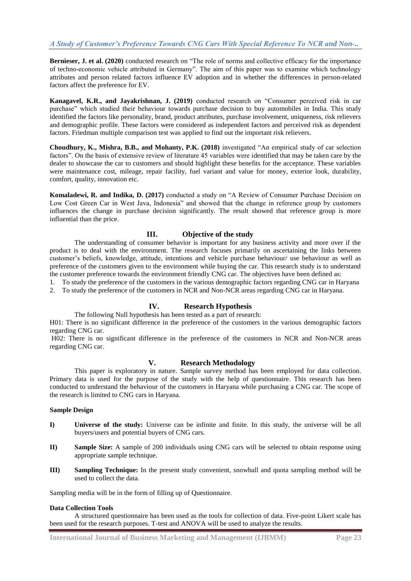**Bernieser, J. et al. (2020)** conducted research on "The role of norms and collective efficacy for the importance of techno-economic vehicle attributed in Germany". The aim of this paper was to examine which technology attributes and person related factors influence EV adoption and in whether the differences in person-related factors affect the preference for EV.

**Kanagavel, K.R., and Jayakrishnan, J. (2019)** conducted research on "Consumer perceived risk in car purchase" which studied their behaviour towards purchase decision to buy automobiles in India. This study identified the factors like personality, brand, product attributes, purchase involvement, uniqueness, risk relievers and demographic profile. These factors were considered as independent factors and perceived risk as dependent factors. Friedman multiple comparison test was applied to find out the important risk relievers.

**Choudhury, K., Mishra, B.B., and Mohanty, P.K. (2018)** investigated "An empirical study of car selection factors". On the basis of extensive review of literature 45 variables were identified that may be taken care by the dealer to showcase the car to customers and should highlight these benefits for the acceptance. These variables were maintenance cost, mileage, repair facility, fuel variant and value for money, exterior look, durability, comfort, quality, innovation etc.

**Komaladewi, R. and Indika, D. (2017)** conducted a study on "A Review of Consumer Purchase Decision on Low Cost Green Car in West Java, Indonesia" and showed that the change in reference group by customers influences the change in purchase decision significantly. The result showed that reference group is more influential than the price.

#### **III. Objective of the study**

The understanding of consumer behavior is important for any business activity and more over if the product is to deal with the environment. The research focuses primarily on ascertaining the links between customer"s beliefs, knowledge, attitude, intentions and vehicle purchase behaviour/ use behaviour as well as preference of the customers given to the environment while buying the car. This research study is to understand the customer preference towards the environment friendly CNG car. The objectives have been defined as:

1. To study the preference of the customers in the various demographic factors regarding CNG car in Haryana

2. To study the preference of the customers in NCR and Non-NCR areas regarding CNG car in Haryana.

## **IV. Research Hypothesis**

The following Null hypothesis has been tested as a part of research:

H01: There is no significant difference in the preference of the customers in the various demographic factors regarding CNG car.

H02: There is no significant difference in the preference of the customers in NCR and Non-NCR areas regarding CNG car.

## **V. Research Methodology**

This paper is exploratory in nature. Sample survey method has been employed for data collection. Primary data is used for the purpose of the study with the help of questionnaire. This research has been conducted to understand the behaviour of the customers in Haryana while purchasing a CNG car. The scope of the research is limited to CNG cars in Haryana.

#### **Sample Design**

- **I) Universe of the study:** Universe can be infinite and finite. In this study, the universe will be all buyers/users and potential buyers of CNG cars.
- **II) Sample Size:** A sample of 200 individuals using CNG cars will be selected to obtain response using appropriate sample technique.
- **III) Sampling Technique:** In the present study convenient, snowball and quota sampling method will be used to collect the data.

Sampling media will be in the form of filling up of Questionnaire.

#### **Data Collection Tools**

A structured questionnaire has been used as the tools for collection of data. Five-point Likert scale has been used for the research purposes. T-test and ANOVA will be used to analyze the results.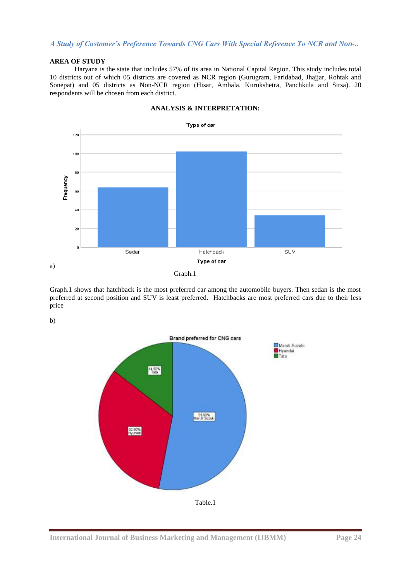#### **AREA OF STUDY**

Haryana is the state that includes 57% of its area in National Capital Region. This study includes total 10 districts out of which 05 districts are covered as NCR region (Gurugram, Faridabad, Jhajjar, Rohtak and Sonepat) and 05 districts as Non-NCR region (Hisar, Ambala, Kurukshetra, Panchkula and Sirsa). 20 respondents will be chosen from each district.



#### **ANALYSIS & INTERPRETATION:**

Graph.1 shows that hatchback is the most preferred car among the automobile buyers. Then sedan is the most preferred at second position and SUV is least preferred. Hatchbacks are most preferred cars due to their less price

b)

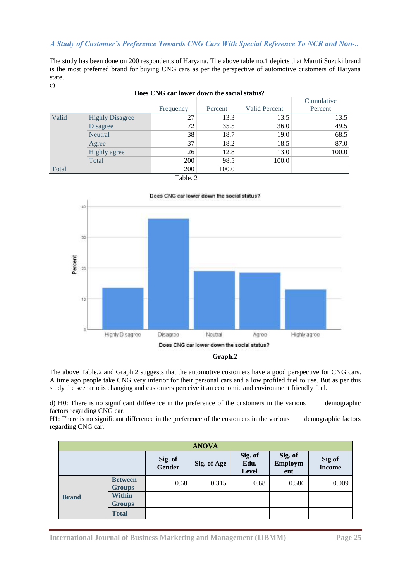The study has been done on 200 respondents of Haryana. The above table no.1 depicts that Maruti Suzuki brand is the most preferred brand for buying CNG cars as per the perspective of automotive customers of Haryana state.

|       | Does CNG car lower down the social status? |           |         |                      |            |  |  |  |  |  |  |
|-------|--------------------------------------------|-----------|---------|----------------------|------------|--|--|--|--|--|--|
|       |                                            |           |         |                      | Cumulative |  |  |  |  |  |  |
|       |                                            | Frequency | Percent | <b>Valid Percent</b> | Percent    |  |  |  |  |  |  |
| Valid | <b>Highly Disagree</b>                     | 27        | 13.3    | 13.5                 | 13.5       |  |  |  |  |  |  |
|       | <b>Disagree</b>                            | 72        | 35.5    | 36.0                 | 49.5       |  |  |  |  |  |  |
|       | Neutral                                    | 38        | 18.7    | 19.0                 | 68.5       |  |  |  |  |  |  |
|       | Agree                                      | 37        | 18.2    | 18.5                 | 87.0       |  |  |  |  |  |  |
|       | <b>Highly</b> agree                        | 26        | 12.8    | 13.0                 | 100.0      |  |  |  |  |  |  |
|       | Total                                      | 200       | 98.5    | 100.0                |            |  |  |  |  |  |  |
| Total |                                            | 200       | 100.0   |                      |            |  |  |  |  |  |  |
|       |                                            | ---       |         |                      |            |  |  |  |  |  |  |

# **Does CNG car lower down the social status?**

c)

Table. 2





The above Table.2 and Graph.2 suggests that the automotive customers have a good perspective for CNG cars. A time ago people take CNG very inferior for their personal cars and a low profiled fuel to use. But as per this study the scenario is changing and customers perceive it an economic and environment friendly fuel.

d) H0: There is no significant difference in the preference of the customers in the various demographic factors regarding CNG car.

H1: There is no significant difference in the preference of the customers in the various demographic factors regarding CNG car.

| <b>ANOVA</b> |                                 |                          |             |                                 |                           |                         |  |  |  |  |
|--------------|---------------------------------|--------------------------|-------------|---------------------------------|---------------------------|-------------------------|--|--|--|--|
|              |                                 | Sig. of<br><b>Gender</b> | Sig. of Age | Sig. of<br>Edu.<br><b>Level</b> | Sig. of<br>Employm<br>ent | Sig.of<br><b>Income</b> |  |  |  |  |
| <b>Brand</b> | <b>Between</b><br><b>Groups</b> | 0.68                     | 0.315       | 0.68                            | 0.586                     | 0.009                   |  |  |  |  |
|              | <b>Within</b><br><b>Groups</b>  |                          |             |                                 |                           |                         |  |  |  |  |
|              | <b>Total</b>                    |                          |             |                                 |                           |                         |  |  |  |  |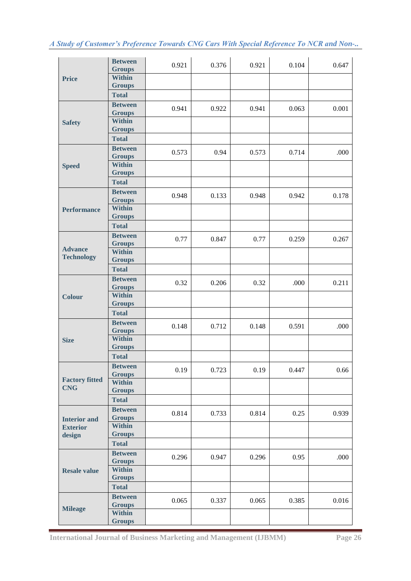| <b>Price</b>          | <b>Between</b><br><b>Groups</b> | 0.921 | 0.376 | 0.921 | 0.104 | 0.647 |
|-----------------------|---------------------------------|-------|-------|-------|-------|-------|
|                       | <b>Within</b>                   |       |       |       |       |       |
|                       | <b>Groups</b>                   |       |       |       |       |       |
|                       | <b>Total</b>                    |       |       |       |       |       |
|                       | <b>Between</b>                  | 0.941 | 0.922 | 0.941 | 0.063 | 0.001 |
|                       | <b>Groups</b>                   |       |       |       |       |       |
| <b>Safety</b>         | <b>Within</b>                   |       |       |       |       |       |
|                       | <b>Groups</b>                   |       |       |       |       |       |
|                       | <b>Total</b>                    |       |       |       |       |       |
|                       | <b>Between</b>                  | 0.573 | 0.94  | 0.573 | 0.714 | .000  |
|                       | <b>Groups</b>                   |       |       |       |       |       |
| <b>Speed</b>          | <b>Within</b>                   |       |       |       |       |       |
|                       | <b>Groups</b>                   |       |       |       |       |       |
|                       | <b>Total</b>                    |       |       |       |       |       |
|                       | <b>Between</b>                  | 0.948 | 0.133 | 0.948 | 0.942 | 0.178 |
|                       | <b>Groups</b>                   |       |       |       |       |       |
| <b>Performance</b>    | <b>Within</b><br><b>Groups</b>  |       |       |       |       |       |
|                       |                                 |       |       |       |       |       |
|                       | <b>Total</b>                    |       |       |       |       |       |
|                       | <b>Between</b>                  | 0.77  | 0.847 | 0.77  | 0.259 | 0.267 |
| <b>Advance</b>        | <b>Groups</b><br><b>Within</b>  |       |       |       |       |       |
| <b>Technology</b>     | <b>Groups</b>                   |       |       |       |       |       |
|                       | <b>Total</b>                    |       |       |       |       |       |
|                       |                                 |       |       |       |       |       |
|                       | <b>Between</b>                  | 0.32  | 0.206 | 0.32  | .000  | 0.211 |
|                       | <b>Groups</b><br><b>Within</b>  |       |       |       |       |       |
| <b>Colour</b>         | <b>Groups</b>                   |       |       |       |       |       |
|                       | <b>Total</b>                    |       |       |       |       |       |
|                       | <b>Between</b>                  |       |       |       |       |       |
|                       | <b>Groups</b>                   | 0.148 | 0.712 | 0.148 | 0.591 | .000  |
| <b>Size</b>           | <b>Within</b>                   |       |       |       |       |       |
|                       | <b>Groups</b>                   |       |       |       |       |       |
|                       | <b>Total</b>                    |       |       |       |       |       |
|                       | <b>Between</b>                  |       |       |       |       |       |
|                       | <b>Groups</b>                   | 0.19  | 0.723 | 0.19  | 0.447 | 0.66  |
| <b>Factory fitted</b> | <b>Within</b>                   |       |       |       |       |       |
| <b>CNG</b>            | <b>Groups</b>                   |       |       |       |       |       |
|                       | <b>Total</b>                    |       |       |       |       |       |
|                       | <b>Between</b>                  |       |       |       |       |       |
| <b>Interior and</b>   | <b>Groups</b>                   | 0.814 | 0.733 | 0.814 | 0.25  | 0.939 |
| <b>Exterior</b>       | <b>Within</b>                   |       |       |       |       |       |
| design                | <b>Groups</b>                   |       |       |       |       |       |
|                       | <b>Total</b>                    |       |       |       |       |       |
|                       | <b>Between</b>                  |       |       |       |       |       |
|                       | <b>Groups</b>                   | 0.296 | 0.947 | 0.296 | 0.95  | .000  |
| <b>Resale value</b>   | <b>Within</b>                   |       |       |       |       |       |
|                       | <b>Groups</b>                   |       |       |       |       |       |
|                       | <b>Total</b>                    |       |       |       |       |       |
|                       | <b>Between</b>                  | 0.065 | 0.337 | 0.065 | 0.385 | 0.016 |
| <b>Mileage</b>        | <b>Groups</b>                   |       |       |       |       |       |
|                       | <b>Within</b>                   |       |       |       |       |       |
|                       | <b>Groups</b>                   |       |       |       |       |       |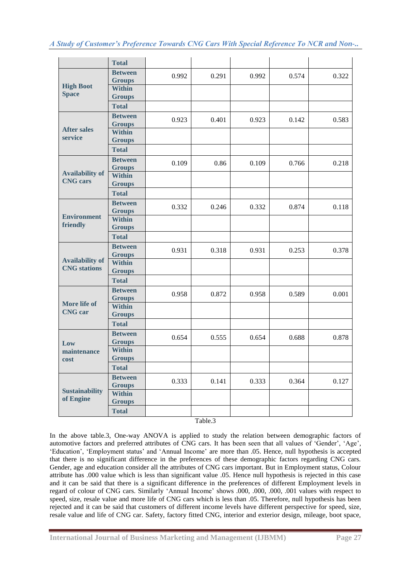|                                               | <b>Total</b>                    |       |       |       |       |       |
|-----------------------------------------------|---------------------------------|-------|-------|-------|-------|-------|
|                                               | <b>Between</b><br><b>Groups</b> | 0.992 | 0.291 | 0.992 | 0.574 | 0.322 |
| <b>High Boot</b><br><b>Space</b>              | <b>Within</b><br><b>Groups</b>  |       |       |       |       |       |
|                                               | <b>Total</b>                    |       |       |       |       |       |
|                                               | <b>Between</b><br><b>Groups</b> | 0.923 | 0.401 | 0.923 | 0.142 | 0.583 |
| <b>After sales</b><br>service                 | <b>Within</b><br><b>Groups</b>  |       |       |       |       |       |
|                                               | <b>Total</b>                    |       |       |       |       |       |
|                                               | <b>Between</b><br><b>Groups</b> | 0.109 | 0.86  | 0.109 | 0.766 | 0.218 |
| <b>Availability of</b><br><b>CNG</b> cars     | <b>Within</b><br><b>Groups</b>  |       |       |       |       |       |
|                                               | <b>Total</b>                    |       |       |       |       |       |
|                                               | <b>Between</b><br><b>Groups</b> | 0.332 | 0.246 | 0.332 | 0.874 | 0.118 |
| <b>Environment</b><br>friendly                | <b>Within</b><br><b>Groups</b>  |       |       |       |       |       |
|                                               | <b>Total</b>                    |       |       |       |       |       |
|                                               | <b>Between</b><br><b>Groups</b> | 0.931 | 0.318 | 0.931 | 0.253 | 0.378 |
| <b>Availability of</b><br><b>CNG</b> stations | <b>Within</b><br><b>Groups</b>  |       |       |       |       |       |
|                                               | <b>Total</b>                    |       |       |       |       |       |
|                                               | <b>Between</b><br><b>Groups</b> | 0.958 | 0.872 | 0.958 | 0.589 | 0.001 |
| More life of<br><b>CNG</b> car                | <b>Within</b><br><b>Groups</b>  |       |       |       |       |       |
|                                               | <b>Total</b>                    |       |       |       |       |       |
| Low                                           | <b>Between</b><br><b>Groups</b> | 0.654 | 0.555 | 0.654 | 0.688 | 0.878 |
| maintenance<br>cost                           | <b>Within</b><br><b>Groups</b>  |       |       |       |       |       |
|                                               | <b>Total</b>                    |       |       |       |       |       |
|                                               | <b>Between</b><br><b>Groups</b> | 0.333 | 0.141 | 0.333 | 0.364 | 0.127 |
| <b>Sustainability</b><br>of Engine            | <b>Within</b><br><b>Groups</b>  |       |       |       |       |       |
|                                               | <b>Total</b>                    |       |       |       |       |       |

Table.3

In the above table.3, One-way ANOVA is applied to study the relation between demographic factors of automotive factors and preferred attributes of CNG cars. It has been seen that all values of "Gender", "Age", "Education", "Employment status" and "Annual Income" are more than .05. Hence, null hypothesis is accepted that there is no significant difference in the preferences of these demographic factors regarding CNG cars. Gender, age and education consider all the attributes of CNG cars important. But in Employment status, Colour attribute has .000 value which is less than significant value .05. Hence null hypothesis is rejected in this case and it can be said that there is a significant difference in the preferences of different Employment levels in regard of colour of CNG cars. Similarly "Annual Income" shows .000, .000, .000, .001 values with respect to speed, size, resale value and more life of CNG cars which is less than .05. Therefore, null hypothesis has been rejected and it can be said that customers of different income levels have different perspective for speed, size, resale value and life of CNG car. Safety, factory fitted CNG, interior and exterior design, mileage, boot space,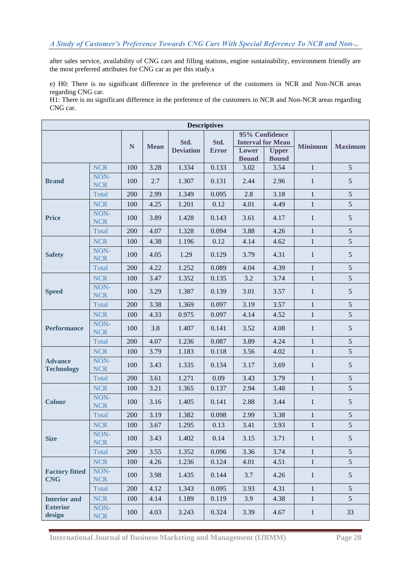after sales service, availability of CNG cars and filling stations, engine sustainability, environment friendly are the most preferred attributes for CNG car as per this study.s

e) H0: There is no significant difference in the preference of the customers in NCR and Non-NCR areas regarding CNG car.

H1: There is no significant difference in the preference of the customers in NCR and Non-NCR areas regarding CNG car.

| <b>Descriptives</b>                 |                    |     |             |                          |                      |                       |                                                                            |                |                 |
|-------------------------------------|--------------------|-----|-------------|--------------------------|----------------------|-----------------------|----------------------------------------------------------------------------|----------------|-----------------|
|                                     |                    | N   | <b>Mean</b> | Std.<br><b>Deviation</b> | Std.<br><b>Error</b> | Lower<br><b>Bound</b> | 95% Confidence<br><b>Interval for Mean</b><br><b>Upper</b><br><b>Bound</b> | <b>Minimum</b> | <b>Maximum</b>  |
|                                     | <b>NCR</b>         | 100 | 3.28        | 1.334                    | 0.133                | 3.02                  | 3.54                                                                       | $\mathbf{1}$   | 5               |
| <b>Brand</b>                        | NON-<br><b>NCR</b> | 100 | 2.7         | 1.307                    | 0.131                | 2.44                  | 2.96                                                                       | $\mathbf{1}$   | 5               |
|                                     | Total              | 200 | 2.99        | 1.349                    | 0.095                | 2.8                   | 3.18                                                                       | $\mathbf 1$    | 5               |
|                                     | <b>NCR</b>         | 100 | 4.25        | 1.201                    | 0.12                 | 4.01                  | 4.49                                                                       | $\mathbf{1}$   | 5               |
| <b>Price</b>                        | NON-<br><b>NCR</b> | 100 | 3.89        | 1.428                    | 0.143                | 3.61                  | 4.17                                                                       | $\mathbf{1}$   | 5               |
|                                     | Total              | 200 | 4.07        | 1.328                    | 0.094                | 3.88                  | 4.26                                                                       | $\mathbf{1}$   | 5               |
|                                     | <b>NCR</b>         | 100 | 4.38        | 1.196                    | 0.12                 | 4.14                  | 4.62                                                                       | $\mathbf{1}$   | $\mathfrak s$   |
| <b>Safety</b>                       | NON-<br><b>NCR</b> | 100 | 4.05        | 1.29                     | 0.129                | 3.79                  | 4.31                                                                       | $\mathbf{1}$   | 5               |
|                                     | Total              | 200 | 4.22        | 1.252                    | 0.089                | 4.04                  | 4.39                                                                       | $\mathbf{1}$   | 5               |
|                                     | <b>NCR</b>         | 100 | 3.47        | 1.352                    | 0.135                | 3.2                   | 3.74                                                                       | $\mathbf{1}$   | 5               |
| <b>Speed</b>                        | NON-<br><b>NCR</b> | 100 | 3.29        | 1.387                    | 0.139                | 3.01                  | 3.57                                                                       | $\mathbf{1}$   | 5               |
|                                     | <b>Total</b>       | 200 | 3.38        | 1.369                    | 0.097                | 3.19                  | 3.57                                                                       | $\mathbf{1}$   | 5               |
|                                     | <b>NCR</b>         | 100 | 4.33        | 0.975                    | 0.097                | 4.14                  | 4.52                                                                       | $\mathbf{1}$   | 5               |
| <b>Performance</b>                  | NON-<br><b>NCR</b> | 100 | 3.8         | 1.407                    | 0.141                | 3.52                  | 4.08                                                                       | $\mathbf{1}$   | 5               |
|                                     | <b>Total</b>       | 200 | 4.07        | 1.236                    | 0.087                | 3.89                  | 4.24                                                                       | $\mathbf{1}$   | 5               |
|                                     | <b>NCR</b>         | 100 | 3.79        | 1.183                    | 0.118                | 3.56                  | 4.02                                                                       | $\mathbf 1$    | 5               |
| <b>Advance</b><br><b>Technology</b> | NON-<br><b>NCR</b> | 100 | 3.43        | 1.335                    | 0.134                | 3.17                  | 3.69                                                                       | $\mathbf{1}$   | 5               |
|                                     | Total              | 200 | 3.61        | 1.271                    | 0.09                 | 3.43                  | 3.79                                                                       | $\mathbf{1}$   | 5               |
|                                     | <b>NCR</b>         | 100 | 3.21        | 1.365                    | 0.137                | 2.94                  | 3.48                                                                       | $\mathbf{1}$   | 5               |
| <b>Colour</b>                       | NON-<br><b>NCR</b> | 100 | 3.16        | 1.405                    | 0.141                | 2.88                  | 3.44                                                                       | $\mathbf{1}$   | 5               |
|                                     | <b>Total</b>       | 200 | 3.19        | 1.382                    | 0.098                | 2.99                  | 3.38                                                                       | $\mathbf{1}$   | $\mathfrak s$   |
|                                     | <b>NCR</b>         | 100 | 3.67        | 1.295                    | 0.13                 | 3.41                  | 3.93                                                                       | $\mathbf{1}$   | 5               |
| <b>Size</b>                         | NON-<br><b>NCR</b> | 100 | 3.43        | 1.402                    | 0.14                 | 3.15                  | 3.71                                                                       | $\mathbf{1}$   | 5               |
|                                     | Total              | 200 | 3.55        | 1.352                    | 0.096                | 3.36                  | 3.74                                                                       | $\mathbf{1}$   | 5               |
|                                     | <b>NCR</b>         | 100 | 4.26        | 1.236                    | 0.124                | 4.01                  | 4.51                                                                       | $\mathbf{1}$   | 5               |
| <b>Factory fitted</b><br><b>CNG</b> | NON-<br><b>NCR</b> | 100 | 3.98        | 1.435                    | 0.144                | 3.7                   | 4.26                                                                       | $\mathbf{1}$   | 5               |
|                                     | Total              | 200 | 4.12        | 1.343                    | 0.095                | 3.93                  | 4.31                                                                       | $\mathbf{1}$   | 5               |
| <b>Interior and</b>                 | <b>NCR</b>         | 100 | 4.14        | 1.189                    | 0.119                | 3.9                   | 4.38                                                                       | $\mathbf{1}$   | $5\overline{)}$ |
| <b>Exterior</b><br>design           | NON-<br><b>NCR</b> | 100 | 4.03        | 3.243                    | 0.324                | 3.39                  | 4.67                                                                       | $\mathbf{1}$   | 33              |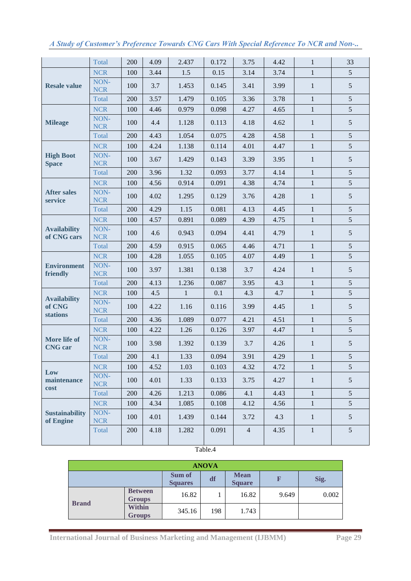|                                    | <b>Total</b>       | 200 | 4.09 | 2.437        | 0.172 | 3.75           | 4.42 | $\mathbf{1}$ | 33              |
|------------------------------------|--------------------|-----|------|--------------|-------|----------------|------|--------------|-----------------|
|                                    | <b>NCR</b>         | 100 | 3.44 | 1.5          | 0.15  | 3.14           | 3.74 | $\mathbf{1}$ | 5               |
| <b>Resale value</b>                | NON-<br><b>NCR</b> | 100 | 3.7  | 1.453        | 0.145 | 3.41           | 3.99 | $\mathbf{1}$ | $\mathfrak{S}$  |
|                                    | Total              | 200 | 3.57 | 1.479        | 0.105 | 3.36           | 3.78 | $\mathbf{1}$ | $\mathfrak{S}$  |
|                                    | <b>NCR</b>         | 100 | 4.46 | 0.979        | 0.098 | 4.27           | 4.65 | $\mathbf{1}$ | 5               |
| <b>Mileage</b>                     | NON-<br><b>NCR</b> | 100 | 4.4  | 1.128        | 0.113 | 4.18           | 4.62 | $\mathbf{1}$ | $\mathfrak{S}$  |
|                                    | Total              | 200 | 4.43 | 1.054        | 0.075 | 4.28           | 4.58 | $\mathbf{1}$ | $\sqrt{5}$      |
|                                    | <b>NCR</b>         | 100 | 4.24 | 1.138        | 0.114 | 4.01           | 4.47 | $\mathbf{1}$ | $\sqrt{5}$      |
| <b>High Boot</b><br><b>Space</b>   | NON-<br><b>NCR</b> | 100 | 3.67 | 1.429        | 0.143 | 3.39           | 3.95 | $\mathbf{1}$ | 5               |
|                                    | Total              | 200 | 3.96 | 1.32         | 0.093 | 3.77           | 4.14 | $\mathbf{1}$ | $\sqrt{5}$      |
|                                    | <b>NCR</b>         | 100 | 4.56 | 0.914        | 0.091 | 4.38           | 4.74 | $\mathbf{1}$ | 5               |
| <b>After sales</b><br>service      | NON-<br><b>NCR</b> | 100 | 4.02 | 1.295        | 0.129 | 3.76           | 4.28 | $\mathbf{1}$ | 5               |
|                                    | Total              | 200 | 4.29 | 1.15         | 0.081 | 4.13           | 4.45 | $\mathbf{1}$ | 5               |
|                                    | <b>NCR</b>         | 100 | 4.57 | 0.891        | 0.089 | 4.39           | 4.75 | $\mathbf{1}$ | 5               |
| <b>Availability</b><br>of CNG cars | NON-<br><b>NCR</b> | 100 | 4.6  | 0.943        | 0.094 | 4.41           | 4.79 | $\mathbf{1}$ | 5               |
|                                    | Total              | 200 | 4.59 | 0.915        | 0.065 | 4.46           | 4.71 | $\mathbf{1}$ | 5               |
|                                    | <b>NCR</b>         | 100 | 4.28 | 1.055        | 0.105 | 4.07           | 4.49 | $\mathbf{1}$ | 5               |
| <b>Environment</b><br>friendly     | NON-<br><b>NCR</b> | 100 | 3.97 | 1.381        | 0.138 | 3.7            | 4.24 | $\mathbf{1}$ | 5               |
|                                    | Total              | 200 | 4.13 | 1.236        | 0.087 | 3.95           | 4.3  | $\mathbf{1}$ | 5               |
| <b>Availability</b>                | <b>NCR</b>         | 100 | 4.5  | $\mathbf{1}$ | 0.1   | 4.3            | 4.7  | $\mathbf{1}$ | $\mathfrak{S}$  |
| of CNG<br>stations                 | NON-<br><b>NCR</b> | 100 | 4.22 | 1.16         | 0.116 | 3.99           | 4.45 | $\mathbf{1}$ | 5               |
|                                    | Total              | 200 | 4.36 | 1.089        | 0.077 | 4.21           | 4.51 | $\mathbf{1}$ | 5               |
|                                    | <b>NCR</b>         | 100 | 4.22 | 1.26         | 0.126 | 3.97           | 4.47 | $\mathbf{1}$ | 5               |
| More life of<br><b>CNG</b> car     | NON-<br><b>NCR</b> | 100 | 3.98 | 1.392        | 0.139 | 3.7            | 4.26 | $\mathbf{1}$ | $\mathfrak{S}$  |
|                                    | Total              | 200 | 4.1  | 1.33         | 0.094 | 3.91           | 4.29 | $\mathbf{1}$ | 5               |
| Low                                | <b>NCR</b>         | 100 | 4.52 | 1.03         | 0.103 | 4.32           | 4.72 | 1            | 5               |
| maintenance<br>cost                | NON-<br><b>NCR</b> | 100 | 4.01 | 1.33         | 0.133 | 3.75           | 4.27 | $\mathbf{1}$ | 5               |
|                                    | Total              | 200 | 4.26 | 1.213        | 0.086 | 4.1            | 4.43 | $\mathbf{1}$ | 5               |
|                                    | <b>NCR</b>         | 100 | 4.34 | 1.085        | 0.108 | 4.12           | 4.56 | $\mathbf{1}$ | 5               |
| <b>Sustainability</b><br>of Engine | NON-<br><b>NCR</b> | 100 | 4.01 | 1.439        | 0.144 | 3.72           | 4.3  | $\mathbf{1}$ | $5\overline{)}$ |
|                                    | Total              | 200 | 4.18 | 1.282        | 0.091 | $\overline{4}$ | 4.35 | $\mathbf{1}$ | 5               |

## Table.4

| <b>ANOVA</b> |                                 |        |                              |       |       |       |  |  |  |
|--------------|---------------------------------|--------|------------------------------|-------|-------|-------|--|--|--|
|              | Sum of<br><b>Squares</b>        | df     | <b>Mean</b><br><b>Square</b> | Ð     | Sig.  |       |  |  |  |
|              | <b>Between</b><br><b>Groups</b> | 16.82  |                              | 16.82 | 9.649 | 0.002 |  |  |  |
| <b>Brand</b> | <b>Within</b><br><b>Groups</b>  | 345.16 | 198                          | 1.743 |       |       |  |  |  |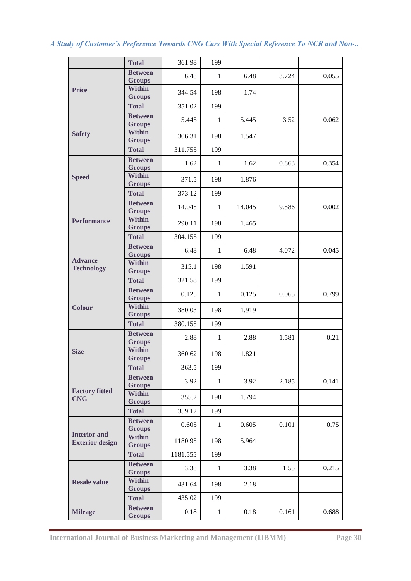|                        | <b>Total</b>                    | 361.98   | 199          |        |       |       |
|------------------------|---------------------------------|----------|--------------|--------|-------|-------|
|                        | <b>Between</b><br><b>Groups</b> | 6.48     | $\mathbf{1}$ | 6.48   | 3.724 | 0.055 |
| <b>Price</b>           | <b>Within</b><br><b>Groups</b>  | 344.54   | 198          | 1.74   |       |       |
|                        | <b>Total</b>                    | 351.02   | 199          |        |       |       |
|                        | <b>Between</b><br><b>Groups</b> | 5.445    | $\mathbf{1}$ | 5.445  | 3.52  | 0.062 |
| <b>Safety</b>          | <b>Within</b><br><b>Groups</b>  | 306.31   | 198          | 1.547  |       |       |
|                        | <b>Total</b>                    | 311.755  | 199          |        |       |       |
|                        | <b>Between</b><br><b>Groups</b> | 1.62     | $\mathbf{1}$ | 1.62   | 0.863 | 0.354 |
| <b>Speed</b>           | <b>Within</b><br><b>Groups</b>  | 371.5    | 198          | 1.876  |       |       |
|                        | <b>Total</b>                    | 373.12   | 199          |        |       |       |
|                        | <b>Between</b><br><b>Groups</b> | 14.045   | $\mathbf{1}$ | 14.045 | 9.586 | 0.002 |
| <b>Performance</b>     | <b>Within</b><br><b>Groups</b>  | 290.11   | 198          | 1.465  |       |       |
|                        | <b>Total</b>                    | 304.155  | 199          |        |       |       |
| <b>Advance</b>         | <b>Between</b><br><b>Groups</b> | 6.48     | $\mathbf{1}$ | 6.48   | 4.072 | 0.045 |
| <b>Technology</b>      | <b>Within</b><br><b>Groups</b>  | 315.1    | 198          | 1.591  |       |       |
|                        | <b>Total</b>                    | 321.58   | 199          |        |       |       |
|                        | <b>Between</b><br><b>Groups</b> | 0.125    | $\mathbf{1}$ | 0.125  | 0.065 | 0.799 |
| <b>Colour</b>          | <b>Within</b><br><b>Groups</b>  | 380.03   | 198          | 1.919  |       |       |
|                        | <b>Total</b>                    | 380.155  | 199          |        |       |       |
|                        | <b>Between</b><br><b>Groups</b> | 2.88     | $\mathbf{1}$ | 2.88   | 1.581 | 0.21  |
| <b>Size</b>            | <b>Within</b><br><b>Groups</b>  | 360.62   | 198          | 1.821  |       |       |
|                        | <b>Total</b>                    | 363.5    | 199          |        |       |       |
| <b>Factory fitted</b>  | <b>Between</b><br><b>Groups</b> | 3.92     | $\mathbf{1}$ | 3.92   | 2.185 | 0.141 |
| <b>CNG</b>             | <b>Within</b><br><b>Groups</b>  | 355.2    | 198          | 1.794  |       |       |
|                        | <b>Total</b>                    | 359.12   | 199          |        |       |       |
| <b>Interior and</b>    | <b>Between</b><br><b>Groups</b> | 0.605    | $\mathbf{1}$ | 0.605  | 0.101 | 0.75  |
| <b>Exterior design</b> | Within<br><b>Groups</b>         | 1180.95  | 198          | 5.964  |       |       |
|                        | <b>Total</b>                    | 1181.555 | 199          |        |       |       |
|                        | <b>Between</b><br><b>Groups</b> | 3.38     | 1            | 3.38   | 1.55  | 0.215 |
| <b>Resale value</b>    | Within<br><b>Groups</b>         | 431.64   | 198          | 2.18   |       |       |
|                        | <b>Total</b>                    | 435.02   | 199          |        |       |       |
| <b>Mileage</b>         | <b>Between</b><br><b>Groups</b> | 0.18     | $\mathbf{1}$ | 0.18   | 0.161 | 0.688 |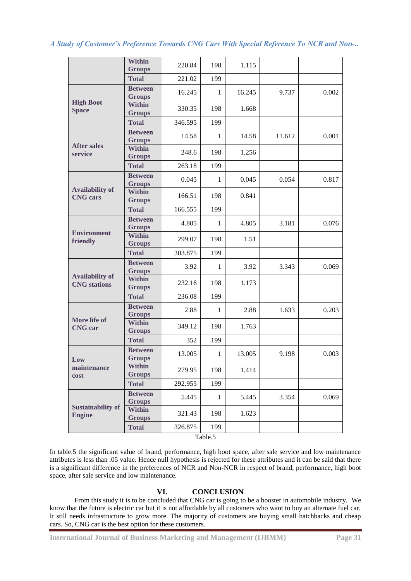|                                               | <b>Within</b><br><b>Groups</b>  | 220.84  | 198                      | 1.115  |        |       |
|-----------------------------------------------|---------------------------------|---------|--------------------------|--------|--------|-------|
|                                               | <b>Total</b>                    | 221.02  | 199                      |        |        |       |
|                                               | <b>Between</b><br><b>Groups</b> | 16.245  | $\mathbf{1}$             | 16.245 | 9.737  | 0.002 |
| <b>High Boot</b><br><b>Space</b>              | <b>Within</b><br><b>Groups</b>  | 330.35  | 198                      | 1.668  |        |       |
|                                               | <b>Total</b>                    | 346.595 | 199                      |        |        |       |
|                                               | <b>Between</b><br><b>Groups</b> | 14.58   | $\mathbf{1}$             | 14.58  | 11.612 | 0.001 |
| <b>After sales</b><br>service                 | <b>Within</b><br><b>Groups</b>  | 248.6   | 198                      | 1.256  |        |       |
|                                               | <b>Total</b>                    | 263.18  | 199                      |        |        |       |
|                                               | <b>Between</b><br><b>Groups</b> | 0.045   | $\mathbf{1}$             | 0.045  | 0.054  | 0.817 |
| <b>Availability of</b><br><b>CNG</b> cars     | <b>Within</b><br><b>Groups</b>  | 166.51  | 198                      | 0.841  |        |       |
|                                               | <b>Total</b>                    | 166.555 | 199                      |        |        |       |
|                                               | <b>Between</b><br><b>Groups</b> | 4.805   | $\mathbf{1}$             | 4.805  | 3.181  | 0.076 |
| <b>Environment</b><br>friendly                | <b>Within</b><br><b>Groups</b>  | 299.07  | 198                      | 1.51   |        |       |
|                                               | <b>Total</b>                    | 303.875 | 199                      |        |        |       |
|                                               | <b>Between</b><br><b>Groups</b> | 3.92    | $\mathbf{1}$             | 3.92   | 3.343  | 0.069 |
| <b>Availability of</b><br><b>CNG</b> stations | <b>Within</b><br><b>Groups</b>  | 232.16  | 198                      | 1.173  |        |       |
|                                               | <b>Total</b>                    | 236.08  | 199                      |        |        |       |
|                                               | <b>Between</b><br><b>Groups</b> | 2.88    | $\mathbf{1}$             | 2.88   | 1.633  | 0.203 |
| More life of<br><b>CNG</b> car                | <b>Within</b><br><b>Groups</b>  | 349.12  | 198                      | 1.763  |        |       |
|                                               | <b>Total</b>                    | 352     | 199                      |        |        |       |
| Low                                           | <b>Between</b><br><b>Groups</b> | 13.005  | 1                        | 13.005 | 9.198  | 0.003 |
| maintenance<br>cost                           | Within<br><b>Groups</b>         | 279.95  | 198                      | 1.414  |        |       |
|                                               | <b>Total</b>                    | 292.955 | 199                      |        |        |       |
|                                               | <b>Between</b><br><b>Groups</b> | 5.445   | 1                        | 5.445  | 3.354  | 0.069 |
| <b>Sustainability of</b><br><b>Engine</b>     | Within<br><b>Groups</b>         | 321.43  | 198                      | 1.623  |        |       |
|                                               | <b>Total</b>                    | 326.875 | 199<br>$T_0 h l_0 \zeta$ |        |        |       |

Table.5

In table.5 the significant value of brand, performance, high boot space, after sale service and low maintenance attributes is less than .05 value. Hence null hypothesis is rejected for these attributes and it can be said that there is a significant difference in the preferences of NCR and Non-NCR in respect of brand, performance, high boot space, after sale service and low maintenance.

## **VI. CONCLUSION**

From this study it is to be concluded that CNG car is going to be a booster in automobile industry. We know that the future is electric car but it is not affordable by all customers who want to buy an alternate fuel car. It still needs infrastructure to grow more. The majority of customers are buying small hatchbacks and cheap cars. So, CNG car is the best option for these customers.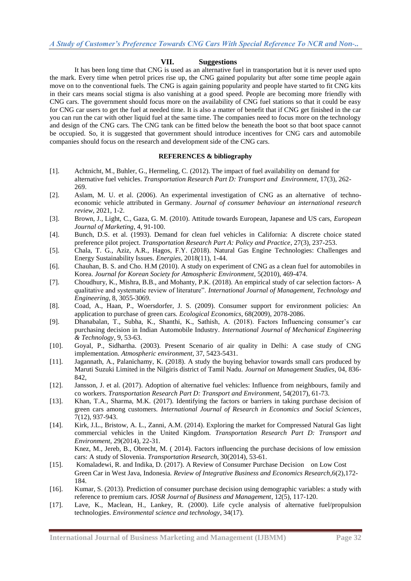#### **VII. Suggestions**

It has been long time that CNG is used as an alternative fuel in transportation but it is never used upto the mark. Every time when petrol prices rise up, the CNG gained popularity but after some time people again move on to the conventional fuels. The CNG is again gaining popularity and people have started to fit CNG kits in their cars means social stigma is also vanishing at a good speed. People are becoming more friendly with CNG cars. The government should focus more on the availability of CNG fuel stations so that it could be easy for CNG car users to get the fuel at needed time. It is also a matter of benefit that if CNG get finished in the car you can run the car with other liquid fuel at the same time. The companies need to focus more on the technology and design of the CNG cars. The CNG tank can be fitted below the beneath the boot so that boot space cannot be occupied. So, it is suggested that government should introduce incentives for CNG cars and automobile companies should focus on the research and development side of the CNG cars.

#### **REFERENCES & bibliography**

- [1]. Achtnicht, M., Buhler, G., Hermeling, C. (2012). The impact of fuel availability on demand for alternative fuel vehicles. *Transportation Research Part D: Transport and Environment*, 17(3), 262- 269.
- [2]. Aslam, M. U. et al. (2006). An experimental investigation of CNG as an alternative of technoeconomic vehicle attributed in Germany. *Journal of consumer behaviour an international research review*, 2021, 1-2.
- [3]. Brown, J., Light, C., Gaza, G. M. (2010). Attitude towards European, Japanese and US cars, *European Journal of Marketing*, 4, 91-100.
- [4]. Bunch, D.S. et al. (1993). Demand for clean fuel vehicles in California: A discrete choice stated preference pilot project. *Transportation Research Part A: Policy and Practice*, 27(3), 237-253.
- [5]. Chala, T. G., Aziz, A.R., Hagos, F.Y. (2018). Natural Gas Engine Technologies: Challenges and Energy Sustainability Issues. *Energies*, 2018(11), 1-44.
- [6]. Chauhan, B. S. and Cho. H.M (2010). A study on experiment of CNG as a clean fuel for automobiles in Korea. *Journal for Korean Society for Atmospheric Environment*, 5(2010), 469-474.
- [7]. Choudhury, K., Mishra, B.B., and Mohanty, P.K. (2018). An empirical study of car selection factors- A qualitative and systematic review of literature". *International Journal of Management, Technology and Engineering*, 8, 3055-3069.
- [8]. Coad, A., Haan, P., Woersdorfer, J. S. (2009). Consumer support for environment policies: An application to purchase of green cars*. Ecological Economics*, 68(2009), 2078-2086.
- [9]. Dhanabalan, T., Subha, K., Shanthi, K., Sathish, A. (2018). Factors Influencing consumer's car purchasing decision in Indian Automobile Industry. *International Journal of Mechanical Engineering & Technology*, 9, 53-63.
- [10]. Goyal, P., Sidhartha. (2003). Present Scenario of air quality in Delhi: A case study of CNG implementation. *Atmospheric environment*, 37, 5423-5431.
- [11]. Jagannath, A., Palanichamy, K. (2018). A study the buying behavior towards small cars produced by Maruti Suzuki Limited in the Nilgiris district of Tamil Nadu. *Journal on Management Studies,* 04, 836- 842,
- [12]. Jansson, J. et al. (2017). Adoption of alternative fuel vehicles: Influence from neighbours, family and co workers. *Transportation Research Part D: Transport and Environment*, 54(2017), 61-73.
- [13]. Khan, T.A., Sharma, M.K. (2017). Identifying the factors or barriers in taking purchase decision of green cars among customers*. International Journal of Research in Economics and Social Sciences*, 7(12), 937-943.
- [14]. Kirk, J.L., Bristow, A. L., Zanni, A.M. (2014). Exploring the market for Compressed Natural Gas light commercial vehicles in the United Kingdom. *Transportation Research Part D: Transport and Environment*, 29(2014), 22-31. Knez, M., Jereb, B., Obrecht, M. ( 2014). Factors influencing the purchase decisions of low emission
- cars: A study of Slovenia. *Transportation Research*, 30(2014), 53-61. [15]. Komaladewi, R. and Indika, D. (2017). A Review of Consumer Purchase Decision on Low Cost Green Car in West Java, Indonesia*. Review of Integrative Business and Economics Research*,6(2),172- 184.
- [16]. Kumar, S. (2013). Prediction of consumer purchase decision using demographic variables: a study with reference to premium cars. *IOSR Journal of Business and Management*, 12(5), 117-120.
- [17]. Lave, K., Maclean, H., Lankey, R. (2000). Life cycle analysis of alternative fuel/propulsion technologies. *Environmental science and technology*, 34(17).